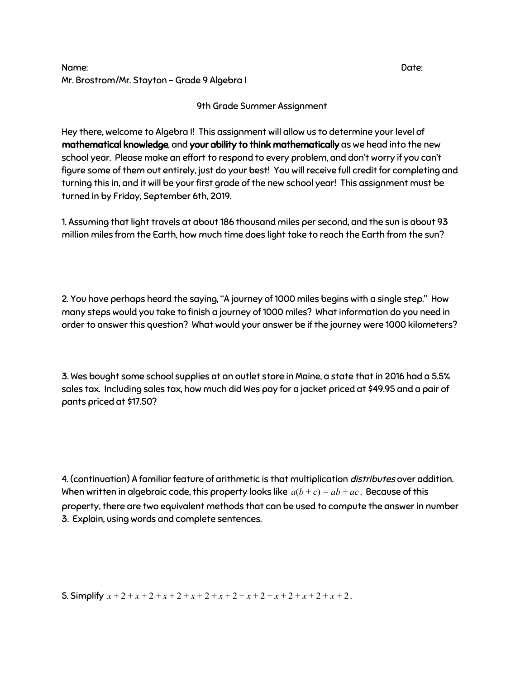## Name: Date: Mr. Brostrom/Mr. Stayton - Grade 9 Algebra I

9th Grade Summer Assignment

Hey there, welcome to Algebra I! This assignment will allow us to determine your level of mathematical knowledge, and your ability to think mathematically as we head into the new school year. Please make an effort to respond to every problem, and don't worry if you can't figure some of them out entirely, just do your best! You will receive full credit for completing and turning this in, and it will be your first grade of the new school year! This assignment must be turned in by Friday, September 6th, 2019.

1. Assuming that light travels at about 186 thousand miles per second, and the sun is about 93 million miles from the Earth, how much time does light take to reach the Earth from the sun?

2. You have perhaps heard the saying, "A journey of 1000 miles begins with a single step." How many steps would you take to finish a journey of 1000 miles? What information do you need in order to answer this question? What would your answer be if the journey were 1000 kilometers?

3. Wes bought some school supplies at an outlet store in Maine, a state that in 2016 had a 5.5% sales tax. Including sales tax, how much did Wes pay for a jacket priced at \$49.95 and a pair of pants priced at \$17.50?

4. (continuation) A familiar feature of arithmetic is that multiplication distributes over addition. When written in algebraic code, this property looks like  $a(b+c) = ab + ac$ . Because of this property, there are two equivalent methods that can be used to compute the answer in number 3. Explain, using words and complete sentences.

5. Simplify *x* + 2 + *x* + 2 + *x* + 2 + *x* + 2 + *x* + 2 + *x* + 2 + *x* + 2 + *x* + 2 + *x* + 2 .